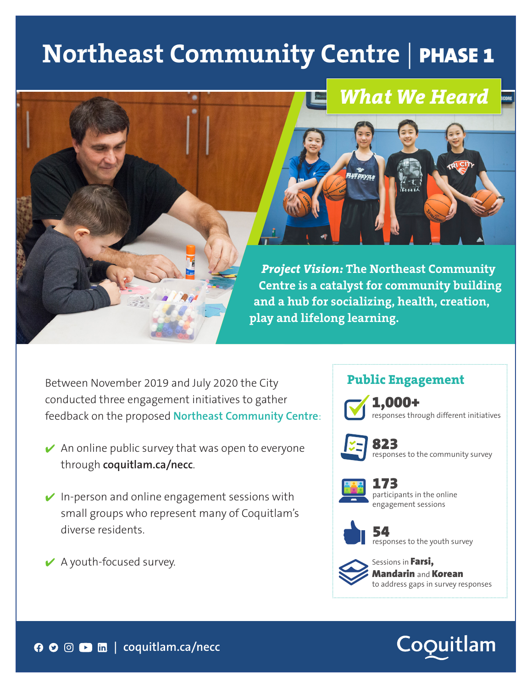# **Northeast Community Centre** | PHASE 1

# *What We Heard*



*Project Vision:* **The Northeast Community Centre is a catalyst for community building and a hub for socializing, health, creation, play and lifelong learning.** 

Between November 2019 and July 2020 the City conducted three engagement initiatives to gather feedback on the proposed **Northeast Community Centre**:

- $\vee$  An online public survey that was open to everyone through **coquitlam.ca/necc**.
- $\vee$  In-person and online engagement sessions with small groups who represent many of Coquitlam's diverse residents.
- $\vee$  A youth-focused survey.

#### **Public Engagement**



1,000+ responses through different initiatives



823<br>responses to the community survey



173 participants in the online engagement sessions



54<br>responses to the youth survey



Sessions in Farsi, Mandarin and Korean to address gaps in survey responses

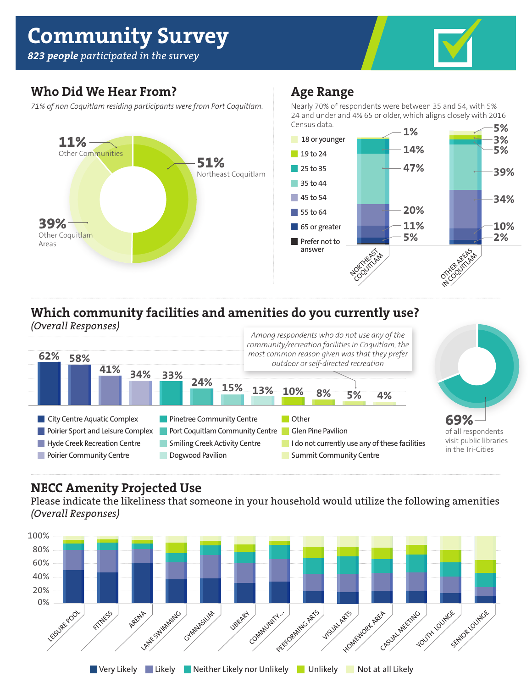# **Community Survey**

*823 people participated in the survey*



#### **Who Did We Hear From?**

*71% of non Coquitlam residing participants were from Port Coquitlam.*



#### **Age Range**

Nearly 70% of respondents were between 35 and 54, with 5% 24 and under and 4% 65 or older, which aligns closely with 2016 Census data. **5%**



### **Which community facilities and amenities do you currently use?**



#### **NECC Amenity Projected Use**

Please indicate the likeliness that someone in your household would utilize the following amenities *(Overall Responses)*

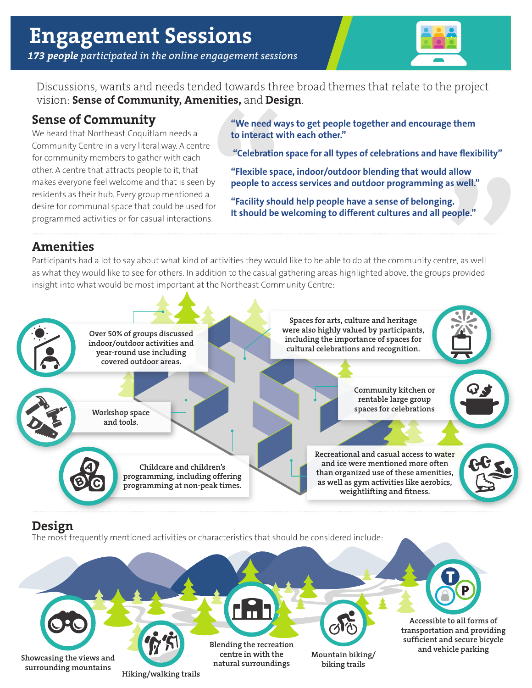

Discussions, wants and needs tended towards three broad themes that relate to the project vision: **Sense of Community, Amenities,** and **Design**.

#### **Sense of Community**

We heard that Northeast Coquitlam needs a Community Centre in a very literal way. A centre for community members to gather with each other. A centre that attracts people to it, that makes everyone feel welcome and that is seen by residents as their hub. Every group mentioned a desire for communal space that could be used for programmed activities or for casual interactions.

**"We need ways to get people together and encourage them to interact with each other."**

 **"Celebration space for all types of celebrations and have flexibility"**

**"Flexible space, indoor/outdoor blending that would allow people to access services and outdoor programming as well."**

**"Facility should help people have a sense of belonging. It should be welcoming to different cultures and all people."**

#### **Amenities**

Participants had a lot to say about what kind of activities they would like to be able to do at the community centre, as well as what they would like to see for others. In addition to the casual gathering areas highlighted above, the groups provided insight into what would be most important at the Northeast Community Centre:



**Showcasing the views and surrounding mountains**

**Hiking/walking trails**

**Blending the recreation centre in with the natural surroundings**

**Mountain biking/ biking trails**

**Accessible to all forms of transportation and providing sufficient and secure bicycle and vehicle parking**